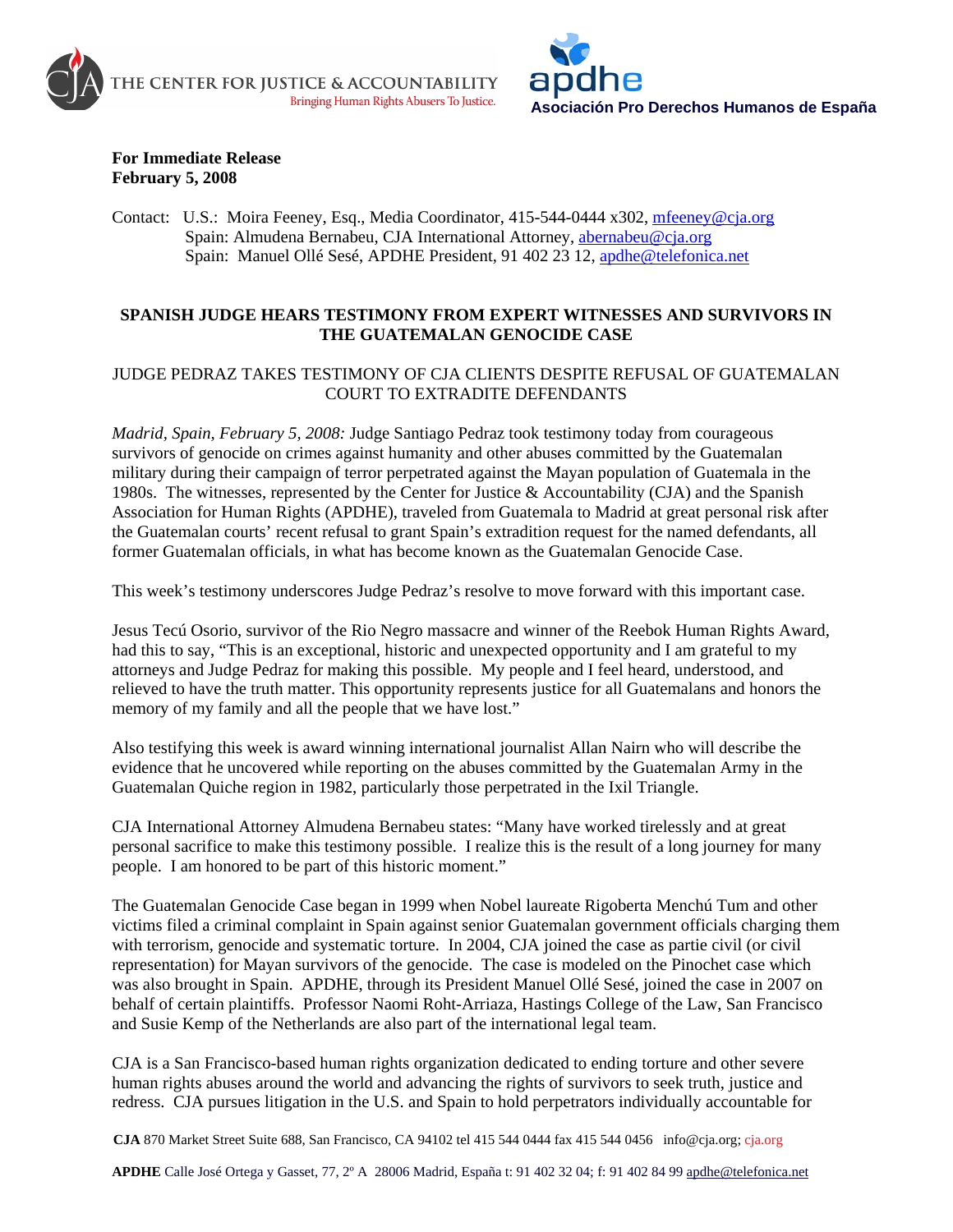



## **For Immediate Release February 5, 2008**

## Contact: U.S.: Moira Feeney, Esq., Media Coordinator, 415-544-0444 x302, [mfeeney@cja.org](mailto:mfeeney@cja.org) Spain: Almudena Bernabeu, CJA International Attorney, [abernabeu@cja.org](mailto:abernabeu@cja.org)  Spain: Manuel Ollé Sesé, APDHE President, 91 402 23 12, [apdhe@telefonica.net](mailto:apdhe@telefonica.net)

## **SPANISH JUDGE HEARS TESTIMONY FROM EXPERT WITNESSES AND SURVIVORS IN THE GUATEMALAN GENOCIDE CASE**

## JUDGE PEDRAZ TAKES TESTIMONY OF CJA CLIENTS DESPITE REFUSAL OF GUATEMALAN COURT TO EXTRADITE DEFENDANTS

*Madrid, Spain, February 5, 2008:* Judge Santiago Pedraz took testimony today from courageous survivors of genocide on crimes against humanity and other abuses committed by the Guatemalan military during their campaign of terror perpetrated against the Mayan population of Guatemala in the 1980s. The witnesses, represented by the Center for Justice  $\&$  Accountability (CJA) and the Spanish Association for Human Rights (APDHE), traveled from Guatemala to Madrid at great personal risk after the Guatemalan courts' recent refusal to grant Spain's extradition request for the named defendants, all former Guatemalan officials, in what has become known as the Guatemalan Genocide Case.

This week's testimony underscores Judge Pedraz's resolve to move forward with this important case.

Jesus Tecú Osorio, survivor of the Rio Negro massacre and winner of the Reebok Human Rights Award, had this to say, "This is an exceptional, historic and unexpected opportunity and I am grateful to my attorneys and Judge Pedraz for making this possible. My people and I feel heard, understood, and relieved to have the truth matter. This opportunity represents justice for all Guatemalans and honors the memory of my family and all the people that we have lost."

Also testifying this week is award winning international journalist Allan Nairn who will describe the evidence that he uncovered while reporting on the abuses committed by the Guatemalan Army in the Guatemalan Quiche region in 1982, particularly those perpetrated in the Ixil Triangle.

CJA International Attorney Almudena Bernabeu states: "Many have worked tirelessly and at great personal sacrifice to make this testimony possible. I realize this is the result of a long journey for many people. I am honored to be part of this historic moment."

The Guatemalan Genocide Case began in 1999 when Nobel laureate Rigoberta Menchú Tum and other victims filed a criminal complaint in Spain against senior Guatemalan government officials charging them with terrorism, genocide and systematic torture. In 2004, CJA joined the case as partie civil (or civil representation) for Mayan survivors of the genocide. The case is modeled on the Pinochet case which was also brought in Spain. APDHE, through its President Manuel Ollé Sesé, joined the case in 2007 on behalf of certain plaintiffs. Professor Naomi Roht-Arriaza, Hastings College of the Law, San Francisco and Susie Kemp of the Netherlands are also part of the international legal team.

CJA is a San Francisco-based human rights organization dedicated to ending torture and other severe human rights abuses around the world and advancing the rights of survivors to seek truth, justice and redress. CJA pursues litigation in the U.S. and Spain to hold perpetrators individually accountable for

 **CJA** 870 Market Street Suite 688, San Francisco, CA 94102 tel 415 544 0444 fax 415 544 0456 info@cja.org; cja.org